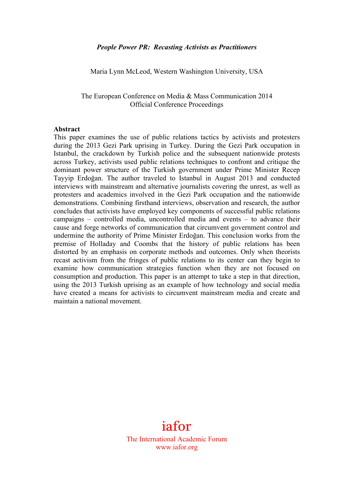#### *People Power PR: Recasting Activists as Practitioners*

Maria Lynn McLeod, Western Washington University, USA

The European Conference on Media & Mass Communication 2014 Official Conference Proceedings

#### **Abstract**

This paper examines the use of public relations tactics by activists and protesters during the 2013 Gezi Park uprising in Turkey. During the Gezi Park occupation in Istanbul, the crackdown by Turkish police and the subsequent nationwide protests across Turkey, activists used public relations techniques to confront and critique the dominant power structure of the Turkish government under Prime Minister Recep Tayyip Erdoğan. The author traveled to Istanbul in August 2013 and conducted interviews with mainstream and alternative journalists covering the unrest, as well as protesters and academics involved in the Gezi Park occupation and the nationwide demonstrations. Combining firsthand interviews, observation and research, the author concludes that activists have employed key components of successful public relations campaigns – controlled media, uncontrolled media and events – to advance their cause and forge networks of communication that circumvent government control and undermine the authority of Prime Minister Erdoğan. This conclusion works from the premise of Holladay and Coombs that the history of public relations has been distorted by an emphasis on corporate methods and outcomes. Only when theorists recast activism from the fringes of public relations to its center can they begin to examine how communication strategies function when they are not focused on consumption and production. This paper is an attempt to take a step in that direction, using the 2013 Turkish uprising as an example of how technology and social media have created a means for activists to circumvent mainstream media and create and maintain a national movement.

# iafor

The International Academic Forum www.iafor.org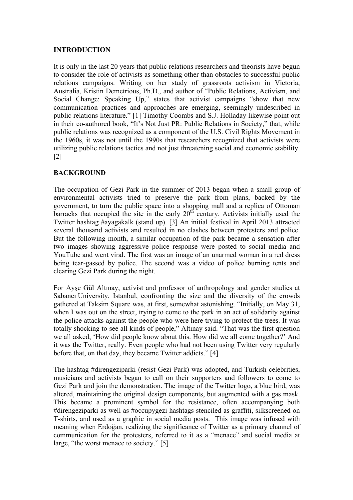## **INTRODUCTION**

It is only in the last 20 years that public relations researchers and theorists have begun to consider the role of activists as something other than obstacles to successful public relations campaigns. Writing on her study of grassroots activism in Victoria, Australia, Kristin Demetrious, Ph.D., and author of "Public Relations, Activism, and Social Change: Speaking Up," states that activist campaigns "show that new communication practices and approaches are emerging, seemingly undescribed in public relations literature." [1] Timothy Coombs and S.J. Holladay likewise point out in their co-authored book, "It's Not Just PR: Public Relations in Society," that, while public relations was recognized as a component of the U.S. Civil Rights Movement in the 1960s, it was not until the 1990s that researchers recognized that activists were utilizing public relations tactics and not just threatening social and economic stability. [2]

# **BACKGROUND**

The occupation of Gezi Park in the summer of 2013 began when a small group of environmental activists tried to preserve the park from plans, backed by the government, to turn the public space into a shopping mall and a replica of Ottoman barracks that occupied the site in the early  $20<sup>th</sup>$  century. Activists initially used the Twitter hashtag #ayagakalk (stand up). [3] An initial festival in April 2013 attracted several thousand activists and resulted in no clashes between protesters and police. But the following month, a similar occupation of the park became a sensation after two images showing aggressive police response were posted to social media and YouTube and went viral. The first was an image of an unarmed woman in a red dress being tear-gassed by police. The second was a video of police burning tents and clearing Gezi Park during the night.

For Ayşe Gül Altınay, activist and professor of anthropology and gender studies at Sabancı University, Istanbul, confronting the size and the diversity of the crowds gathered at Taksim Square was, at first, somewhat astonishing. "Initially, on May 31, when I was out on the street, trying to come to the park in an act of solidarity against the police attacks against the people who were here trying to protect the trees. It was totally shocking to see all kinds of people," Altınay said. "That was the first question we all asked, 'How did people know about this. How did we all come together?' And it was the Twitter, really. Even people who had not been using Twitter very regularly before that, on that day, they became Twitter addicts." [4]

The hashtag #direngeziparki (resist Gezi Park) was adopted, and Turkish celebrities, musicians and activists began to call on their supporters and followers to come to Gezi Park and join the demonstration. The image of the Twitter logo, a blue bird, was altered, maintaining the original design components, but augmented with a gas mask. This became a prominent symbol for the resistance, often accompanying both #direngeziparki as well as #occupygezi hashtags stenciled as graffiti, silkscreened on T-shirts, and used as a graphic in social media posts. This image was infused with meaning when Erdoğan, realizing the significance of Twitter as a primary channel of communication for the protesters, referred to it as a "menace" and social media at large, "the worst menace to society." [5]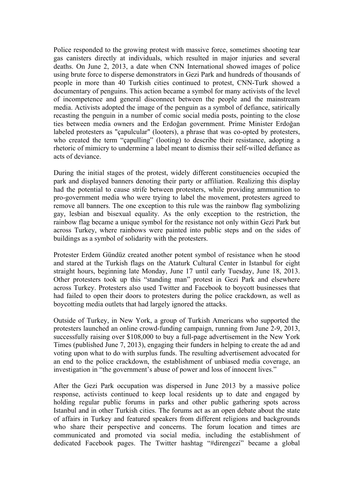Police responded to the growing protest with massive force, sometimes shooting tear gas canisters directly at individuals, which resulted in major injuries and several deaths. On June 2, 2013, a date when CNN International showed images of police using brute force to disperse demonstrators in Gezi Park and hundreds of thousands of people in more than 40 Turkish cities continued to protest, CNN-Turk showed a documentary of penguins. This action became a symbol for many activists of the level of incompetence and general disconnect between the people and the mainstream media. Activists adopted the image of the penguin as a symbol of defiance, satirically recasting the penguin in a number of comic social media posts, pointing to the close ties between media owners and the Erdoğan government. Prime Minister Erdoğan labeled protesters as "çapulcular" (looters), a phrase that was co-opted by protesters, who created the term "capulling" (looting) to describe their resistance, adopting a rhetoric of mimicry to undermine a label meant to dismiss their self-willed defiance as acts of deviance.

During the initial stages of the protest, widely different constituencies occupied the park and displayed banners denoting their party or affiliation. Realizing this display had the potential to cause strife between protesters, while providing ammunition to pro-government media who were trying to label the movement, protesters agreed to remove all banners. The one exception to this rule was the rainbow flag symbolizing gay, lesbian and bisexual equality. As the only exception to the restriction, the rainbow flag became a unique symbol for the resistance not only within Gezi Park but across Turkey, where rainbows were painted into public steps and on the sides of buildings as a symbol of solidarity with the protesters.

Protester Erdem Gündüz created another potent symbol of resistance when he stood and stared at the Turkish flags on the Ataturk Cultural Center in Istanbul for eight straight hours, beginning late Monday, June 17 until early Tuesday, June 18, 2013. Other protesters took up this "standing man" protest in Gezi Park and elsewhere across Turkey. Protesters also used Twitter and Facebook to boycott businesses that had failed to open their doors to protesters during the police crackdown, as well as boycotting media outlets that had largely ignored the attacks.

Outside of Turkey, in New York, a group of Turkish Americans who supported the protesters launched an online crowd-funding campaign, running from June 2-9, 2013, successfully raising over \$108,000 to buy a full-page advertisement in the New York Times (published June 7, 2013), engaging their funders in helping to create the ad and voting upon what to do with surplus funds. The resulting advertisement advocated for an end to the police crackdown, the establishment of unbiased media coverage, an investigation in "the government's abuse of power and loss of innocent lives."

After the Gezi Park occupation was dispersed in June 2013 by a massive police response, activists continued to keep local residents up to date and engaged by holding regular public forums in parks and other public gathering spots across Istanbul and in other Turkish cities. The forums act as an open debate about the state of affairs in Turkey and featured speakers from different religions and backgrounds who share their perspective and concerns. The forum location and times are communicated and promoted via social media, including the establishment of dedicated Facebook pages. The Twitter hashtag "#direngezi" became a global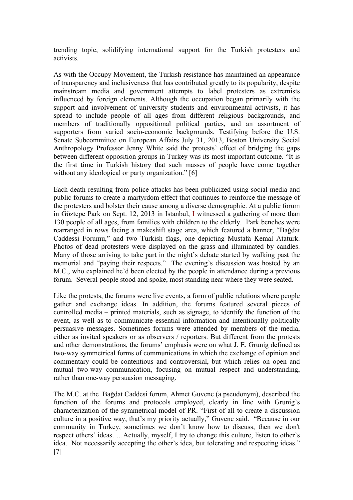trending topic, solidifying international support for the Turkish protesters and activists.

As with the Occupy Movement, the Turkish resistance has maintained an appearance of transparency and inclusiveness that has contributed greatly to its popularity, despite mainstream media and government attempts to label protesters as extremists influenced by foreign elements. Although the occupation began primarily with the support and involvement of university students and environmental activists, it has spread to include people of all ages from different religious backgrounds, and members of traditionally oppositional political parties, and an assortment of supporters from varied socio-economic backgrounds. Testifying before the U.S. Senate Subcommittee on European Affairs July 31, 2013, Boston University Social Anthropology Professor Jenny White said the protests' effect of bridging the gaps between different opposition groups in Turkey was its most important outcome. "It is the first time in Turkish history that such masses of people have come together without any ideological or party organization." [6]

Each death resulting from police attacks has been publicized using social media and public forums to create a martyrdom effect that continues to reinforce the message of the protesters and bolster their cause among a diverse demographic. At a public forum in Göztepe Park on Sept. 12, 2013 in Istanbul, I witnessed a gathering of more than 130 people of all ages, from families with children to the elderly. Park benches were rearranged in rows facing a makeshift stage area, which featured a banner, "Bağdat Caddessi Forumu," and two Turkish flags, one depicting Mustafa Kemal Ataturk. Photos of dead protesters were displayed on the grass and illuminated by candles. Many of those arriving to take part in the night's debate started by walking past the memorial and "paying their respects." The evening's discussion was hosted by an M.C., who explained he'd been elected by the people in attendance during a previous forum. Several people stood and spoke, most standing near where they were seated.

Like the protests, the forums were live events, a form of public relations where people gather and exchange ideas. In addition, the forums featured several pieces of controlled media – printed materials, such as signage, to identify the function of the event, as well as to communicate essential information and intentionally politically persuasive messages. Sometimes forums were attended by members of the media, either as invited speakers or as observers / reporters. But different from the protests and other demonstrations, the forums' emphasis were on what J. E. Grunig defined as two-way symmetrical forms of communications in which the exchange of opinion and commentary could be contentious and controversial, but which relies on open and mutual two-way communication, focusing on mutual respect and understanding, rather than one-way persuasion messaging.

The M.C. at the Bağdat Caddesi forum, Ahmet Guvenc (a pseudonym), described the function of the forums and protocols employed, clearly in line with Grunig's characterization of the symmetrical model of PR. "First of all to create a discussion culture in a positive way, that's my priority actually," Guvenc said. "Because in our community in Turkey, sometimes we don't know how to discuss, then we don't respect others' ideas. …Actually, myself, I try to change this culture, listen to other's idea. Not necessarily accepting the other's idea, but tolerating and respecting ideas." [7]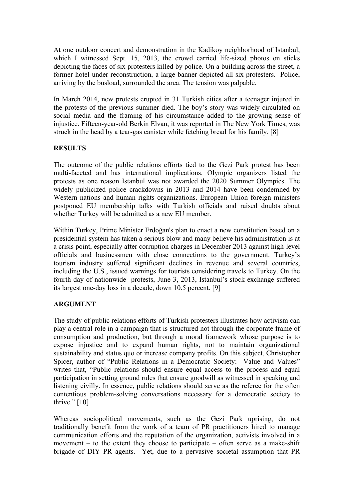At one outdoor concert and demonstration in the Kadikoy neighborhood of Istanbul, which I witnessed Sept. 15, 2013, the crowd carried life-sized photos on sticks depicting the faces of six protesters killed by police. On a building across the street, a former hotel under reconstruction, a large banner depicted all six protesters. Police, arriving by the busload, surrounded the area. The tension was palpable.

In March 2014, new protests erupted in 31 Turkish cities after a teenager injured in the protests of the previous summer died. The boy's story was widely circulated on social media and the framing of his circumstance added to the growing sense of injustice. Fifteen-year-old Berkin Elvan, it was reported in The New York Times, was struck in the head by a tear-gas canister while fetching bread for his family. [8]

## **RESULTS**

The outcome of the public relations efforts tied to the Gezi Park protest has been multi-faceted and has international implications. Olympic organizers listed the protests as one reason Istanbul was not awarded the 2020 Summer Olympics. The widely publicized police crackdowns in 2013 and 2014 have been condemned by Western nations and human rights organizations. European Union foreign ministers postponed EU membership talks with Turkish officials and raised doubts about whether Turkey will be admitted as a new EU member.

Within Turkey, Prime Minister Erdoğan's plan to enact a new constitution based on a presidential system has taken a serious blow and many believe his administration is at a crisis point, especially after corruption charges in December 2013 against high-level officials and businessmen with close connections to the government. Turkey's tourism industry suffered significant declines in revenue and several countries, including the U.S., issued warnings for tourists considering travels to Turkey. On the fourth day of nationwide protests, June 3, 2013, Istanbul's stock exchange suffered its largest one-day loss in a decade, down 10.5 percent. [9]

## **ARGUMENT**

The study of public relations efforts of Turkish protesters illustrates how activism can play a central role in a campaign that is structured not through the corporate frame of consumption and production, but through a moral framework whose purpose is to expose injustice and to expand human rights, not to maintain organizational sustainability and status quo or increase company profits. On this subject, Christopher Spicer, author of "Public Relations in a Democratic Society: Value and Values" writes that, "Public relations should ensure equal access to the process and equal participation in setting ground rules that ensure goodwill as witnessed in speaking and listening civilly. In essence, public relations should serve as the referee for the often contentious problem-solving conversations necessary for a democratic society to thrive." $[10]$ 

Whereas sociopolitical movements, such as the Gezi Park uprising, do not traditionally benefit from the work of a team of PR practitioners hired to manage communication efforts and the reputation of the organization, activists involved in a movement  $-$  to the extent they choose to participate  $-$  often serve as a make-shift brigade of DIY PR agents. Yet, due to a pervasive societal assumption that PR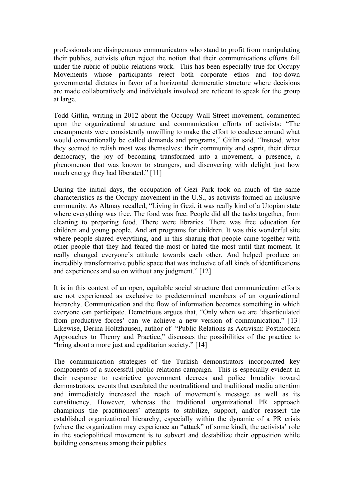professionals are disingenuous communicators who stand to profit from manipulating their publics, activists often reject the notion that their communications efforts fall under the rubric of public relations work. This has been especially true for Occupy Movements whose participants reject both corporate ethos and top-down governmental dictates in favor of a horizontal democratic structure where decisions are made collaboratively and individuals involved are reticent to speak for the group at large.

Todd Gitlin, writing in 2012 about the Occupy Wall Street movement, commented upon the organizational structure and communication efforts of activists: "The encampments were consistently unwilling to make the effort to coalesce around what would conventionally be called demands and programs," Gitlin said. "Instead, what they seemed to relish most was themselves: their community and esprit, their direct democracy, the joy of becoming transformed into a movement, a presence, a phenomenon that was known to strangers, and discovering with delight just how much energy they had liberated." [11]

During the initial days, the occupation of Gezi Park took on much of the same characteristics as the Occupy movement in the U.S., as activists formed an inclusive community. As Altınay recalled, "Living in Gezi, it was really kind of a Utopian state where everything was free. The food was free. People did all the tasks together, from cleaning to preparing food. There were libraries. There was free education for children and young people. And art programs for children. It was this wonderful site where people shared everything, and in this sharing that people came together with other people that they had feared the most or hated the most until that moment. It really changed everyone's attitude towards each other. And helped produce an incredibly transformative public space that was inclusive of all kinds of identifications and experiences and so on without any judgment." [12]

It is in this context of an open, equitable social structure that communication efforts are not experienced as exclusive to predetermined members of an organizational hierarchy. Communication and the flow of information becomes something in which everyone can participate. Demetrious argues that, "Only when we are 'disarticulated from productive forces' can we achieve a new version of communication." [13] Likewise, Derina Holtzhausen, author of "Public Relations as Activism: Postmodern Approaches to Theory and Practice," discusses the possibilities of the practice to "bring about a more just and egalitarian society." [14]

The communication strategies of the Turkish demonstrators incorporated key components of a successful public relations campaign. This is especially evident in their response to restrictive government decrees and police brutality toward demonstrators, events that escalated the nontraditional and traditional media attention and immediately increased the reach of movement's message as well as its constituency. However, whereas the traditional organizational PR approach champions the practitioners' attempts to stabilize, support, and/or reassert the established organizational hierarchy, especially within the dynamic of a PR crisis (where the organization may experience an "attack" of some kind), the activists' role in the sociopolitical movement is to subvert and destabilize their opposition while building consensus among their publics.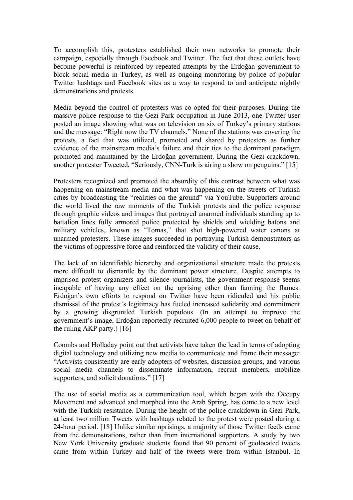To accomplish this, protesters established their own networks to promote their campaign, especially through Facebook and Twitter. The fact that these outlets have become powerful is reinforced by repeated attempts by the Erdoğan government to block social media in Turkey, as well as ongoing monitoring by police of popular Twitter hashtags and Facebook sites as a way to respond to and anticipate nightly demonstrations and protests.

Media beyond the control of protesters was co-opted for their purposes. During the massive police response to the Gezi Park occupation in June 2013, one Twitter user posted an image showing what was on television on six of Turkey's primary stations and the message: "Right now the TV channels." None of the stations was covering the protests, a fact that was utilized, promoted and shared by protesters as further evidence of the mainstream media's failure and their ties to the dominant paradigm promoted and maintained by the Erdoğan government. During the Gezi crackdown, another protester Tweeted, "Seriously, CNN-Turk is airing a show on penguins." [15]

Protesters recognized and promoted the absurdity of this contrast between what was happening on mainstream media and what was happening on the streets of Turkish cities by broadcasting the "realities on the ground" via YouTube. Supporters around the world lived the raw moments of the Turkish protests and the police response through graphic videos and images that portrayed unarmed individuals standing up to battalion lines fully armored police protected by shields and wielding batons and military vehicles, known as "Tomas," that shot high-powered water canons at unarmed protesters. These images succeeded in portraying Turkish demonstrators as the victims of oppressive force and reinforced the validity of their cause.

The lack of an identifiable hierarchy and organizational structure made the protests more difficult to dismantle by the dominant power structure. Despite attempts to imprison protest organizers and silence journalists, the government response seems incapable of having any effect on the uprising other than fanning the flames. Erdoğan's own efforts to respond on Twitter have been ridiculed and his public dismissal of the protest's legitimacy has fueled increased solidarity and commitment by a growing disgruntled Turkish populous. (In an attempt to improve the government's image, Erdoğan reportedly recruited 6,000 people to tweet on behalf of the ruling AKP party.) [16]

Coombs and Holladay point out that activists have taken the lead in terms of adopting digital technology and utilizing new media to communicate and frame their message: "Activists consistently are early adopters of websites, discussion groups, and various social media channels to disseminate information, recruit members, mobilize supporters, and solicit donations." [17]

The use of social media as a communication tool, which began with the Occupy Movement and advanced and morphed into the Arab Spring, has come to a new level with the Turkish resistance. During the height of the police crackdown in Gezi Park, at least two million Tweets with hashtags related to the protest were posted during a 24-hour period. [18] Unlike similar uprisings, a majority of those Twitter feeds came from the demonstrations, rather than from international supporters. A study by two New York University graduate students found that 90 percent of geolocated tweets came from within Turkey and half of the tweets were from within Istanbul. In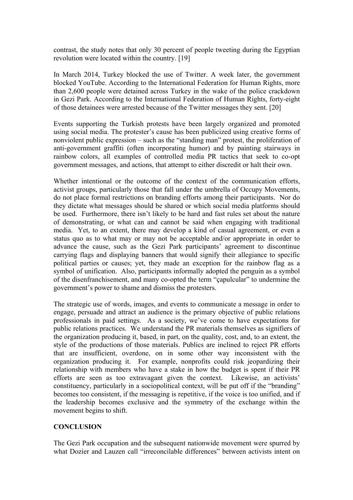contrast, the study notes that only 30 percent of people tweeting during the Egyptian revolution were located within the country. [19]

In March 2014, Turkey blocked the use of Twitter. A week later, the government blocked YouTube. According to the International Federation for Human Rights, more than 2,600 people were detained across Turkey in the wake of the police crackdown in Gezi Park. According to the International Federation of Human Rights, forty-eight of those detainees were arrested because of the Twitter messages they sent. [20]

Events supporting the Turkish protests have been largely organized and promoted using social media. The protester's cause has been publicized using creative forms of nonviolent public expression – such as the "standing man" protest, the proliferation of anti-government graffiti (often incorporating humor) and by painting stairways in rainbow colors, all examples of controlled media PR tactics that seek to co-opt government messages, and actions, that attempt to either discredit or halt their own.

Whether intentional or the outcome of the context of the communication efforts, activist groups, particularly those that fall under the umbrella of Occupy Movements, do not place formal restrictions on branding efforts among their participants. Nor do they dictate what messages should be shared or which social media platforms should be used. Furthermore, there isn't likely to be hard and fast rules set about the nature of demonstrating, or what can and cannot be said when engaging with traditional media. Yet, to an extent, there may develop a kind of casual agreement, or even a status quo as to what may or may not be acceptable and/or appropriate in order to advance the cause, such as the Gezi Park participants' agreement to discontinue carrying flags and displaying banners that would signify their allegiance to specific political parties or causes; yet, they made an exception for the rainbow flag as a symbol of unification. Also, participants informally adopted the penguin as a symbol of the disenfranchisement, and many co-opted the term "çapulcular" to undermine the government's power to shame and dismiss the protesters.

The strategic use of words, images, and events to communicate a message in order to engage, persuade and attract an audience is the primary objective of public relations professionals in paid settings. As a society, we've come to have expectations for public relations practices. We understand the PR materials themselves as signifiers of the organization producing it, based, in part, on the quality, cost, and, to an extent, the style of the productions of those materials. Publics are inclined to reject PR efforts that are insufficient, overdone, on in some other way inconsistent with the organization producing it. For example, nonprofits could risk jeopardizing their relationship with members who have a stake in how the budget is spent if their PR efforts are seen as too extravagant given the context. Likewise, an activists' constituency, particularly in a sociopolitical context, will be put off if the "branding" becomes too consistent, if the messaging is repetitive, if the voice is too unified, and if the leadership becomes exclusive and the symmetry of the exchange within the movement begins to shift.

### **CONCLUSION**

The Gezi Park occupation and the subsequent nationwide movement were spurred by what Dozier and Lauzen call "irreconcilable differences" between activists intent on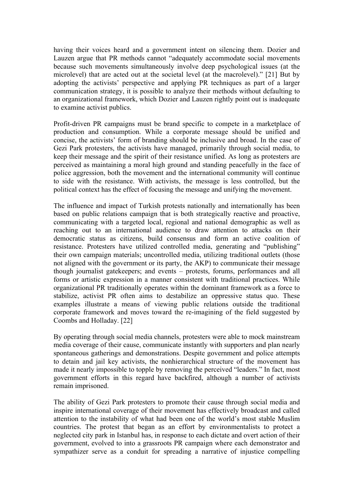having their voices heard and a government intent on silencing them. Dozier and Lauzen argue that PR methods cannot "adequately accommodate social movements because such movements simultaneously involve deep psychological issues (at the microlevel) that are acted out at the societal level (at the macrolevel)." [21] But by adopting the activists' perspective and applying PR techniques as part of a larger communication strategy, it is possible to analyze their methods without defaulting to an organizational framework, which Dozier and Lauzen rightly point out is inadequate to examine activist publics.

Profit-driven PR campaigns must be brand specific to compete in a marketplace of production and consumption. While a corporate message should be unified and concise, the activists' form of branding should be inclusive and broad. In the case of Gezi Park protesters, the activists have managed, primarily through social media, to keep their message and the spirit of their resistance unified. As long as protesters are perceived as maintaining a moral high ground and standing peacefully in the face of police aggression, both the movement and the international community will continue to side with the resistance. With activists, the message is less controlled, but the political context has the effect of focusing the message and unifying the movement.

The influence and impact of Turkish protests nationally and internationally has been based on public relations campaign that is both strategically reactive and proactive, communicating with a targeted local, regional and national demographic as well as reaching out to an international audience to draw attention to attacks on their democratic status as citizens, build consensus and form an active coalition of resistance. Protesters have utilized controlled media, generating and "publishing" their own campaign materials; uncontrolled media, utilizing traditional outlets (those not aligned with the government or its party, the AKP) to communicate their message though journalist gatekeepers; and events – protests, forums, performances and all forms or artistic expression in a manner consistent with traditional practices. While organizational PR traditionally operates within the dominant framework as a force to stabilize, activist PR often aims to destabilize an oppressive status quo. These examples illustrate a means of viewing public relations outside the traditional corporate framework and moves toward the re-imagining of the field suggested by Coombs and Holladay. [22]

By operating through social media channels, protesters were able to mock mainstream media coverage of their cause, communicate instantly with supporters and plan nearly spontaneous gatherings and demonstrations. Despite government and police attempts to detain and jail key activists, the nonhierarchical structure of the movement has made it nearly impossible to topple by removing the perceived "leaders." In fact, most government efforts in this regard have backfired, although a number of activists remain imprisoned.

The ability of Gezi Park protesters to promote their cause through social media and inspire international coverage of their movement has effectively broadcast and called attention to the instability of what had been one of the world's most stable Muslim countries. The protest that began as an effort by environmentalists to protect a neglected city park in Istanbul has, in response to each dictate and overt action of their government, evolved to into a grassroots PR campaign where each demonstrator and sympathizer serve as a conduit for spreading a narrative of injustice compelling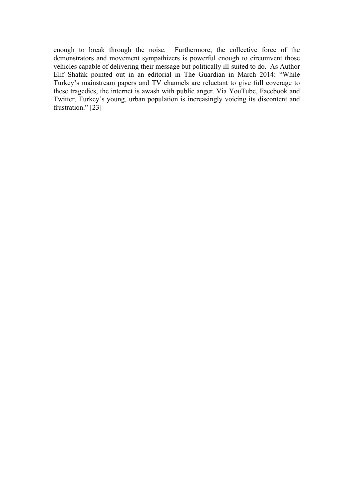enough to break through the noise. Furthermore, the collective force of the demonstrators and movement sympathizers is powerful enough to circumvent those vehicles capable of delivering their message but politically ill-suited to do. As Author Elif Shafak pointed out in an editorial in The Guardian in March 2014: "While Turkey's mainstream papers and TV channels are reluctant to give full coverage to these tragedies, the internet is awash with public anger. Via YouTube, Facebook and Twitter, Turkey's young, urban population is increasingly voicing its discontent and frustration." [23]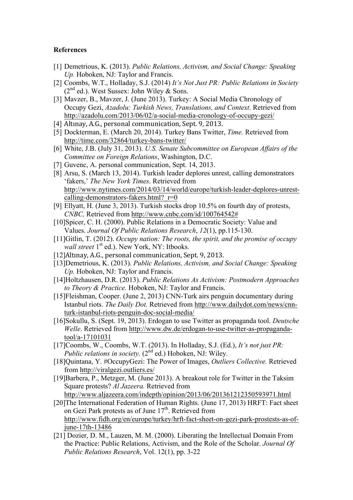#### **References**

- [1] Demetrious, K. (2013). *Public Relations, Activism, and Social Change: Speaking Up.* Hoboken, NJ: Taylor and Francis.
- [2] Coombs, W.T., Holladay, S.J. (2014) *It's Not Just PR: Public Relations in Society*  $(2^{nd}$  ed.). West Sussex: John Wiley & Sons.
- [3] Mavzer, B., Mavzer, J. (June 2013). Turkey: A Social Media Chronology of Occupy Gezi, *Azadolu: Turkish News, Translations, and Context*. Retrieved from http://azadolu.com/2013/06/02/a-social-media-cronology-of-occupy-gezi/
- [4] Altınay, A.G., personal communication, Sept. 9, 2013.
- [5] Dockterman, E. (March 20, 2014). Turkey Bans Twitter, *Time.* Retrieved from http://time.com/32864/turkey-bans-twitter/
- [6] White, J.B. (July 31, 2013). *U.S. Senate Subcommittee on European Affairs of the Committee on Foreign Relations*, Washington, D.C.
- [7] Guvenc, A. personal communication, Sept. 14, 2013.
- [8] Arsu, S. (March 13, 2014). Turkish leader deplores unrest, calling demonstrators 'fakers,' *The New York Times*. Retrieved from http://www.nytimes.com/2014/03/14/world/europe/turkish-leader-deplores-unrestcalling-demonstrators-fakers.html? $r=0$
- [9] Ellyatt, H. (June 3, 2013). Turkish stocks drop 10.5% on fourth day of protests, *CNBC,* Retrieved from http://www.cnbc.com/id/100764542#
- [10]Spicer, C. H. (2000). Public Relations in a Democratic Society: Value and Values. *Journal Of Public Relations Research*, *12*(1), pp.115-130.
- [11]Gitlin, T. (2012). *Occupy nation: The roots, the spirit, and the promise of occupy wall street* 1<sup>st</sup> ed.). New York, NY: Itbooks.
- [12]Altınay, A.G., personal communication, Sept. 9, 2013.
- [13]Demetrious, K. (2013). *Public Relations, Activism, and Social Change: Speaking Up.* Hoboken, NJ: Taylor and Francis.
- [14]Holtzhausen, D.R. (2013). *Public Relations As Activism: Postmodern Approaches to Theory & Practice.* Hoboken, NJ: Taylor and Francis.
- [15]Fleishman, Cooper. (June 2, 2013) CNN-Turk airs penguin documentary during Istanbul riots. *The Daily Dot.* Retrieved from http://www.dailydot.com/news/cnnturk-istanbul-riots-penguin-doc-social-media/
- [16]Sokullu, S. (Sept. 19, 2013). Erdogan to use Twitter as propaganda tool. *Deutsche Welle*. Retrieved from http://www.dw.de/erdogan-to-use-twitter-as-propagandatool/a-17101031
- [17]Coombs, W., Coombs, W.T. (2013). In Holladay, S.J. (Ed.), *It's not just PR: Public relations in society.* (2<sup>nd</sup> ed.) Hoboken, NJ: Wiley.
- [18]Quintana, Y. #OccupyGezi: The Power of Images, *Outliers Collective.* Retrieved from http://viralgezi.outliers.es/
- [19]Barbera, P., Metzger, M. (June 2013). A breakout role for Twitter in the Taksim Square protests? *Al Jazeera.* Retrieved from http://www.aljazeera.com/indepth/opinion/2013/06/201361212350593971.html
- [20]The International Federation of Human Rights. (June 17, 2013) HRFT: Fact sheet on Gezi Park protests as of June 17<sup>th</sup>. Retrieved from http://www.fidh.org/en/europe/turkey/hrft-fact-sheet-on-gezi-park-prostests-as-ofjune-17th-13486
- [21] Dozier, D. M., Lauzen, M. M. (2000). Liberating the Intellectual Domain From the Practice: Public Relations, Activism, and the Role of the Scholar. *Journal Of Public Relations Research*, Vol. 12(1), pp. 3-22